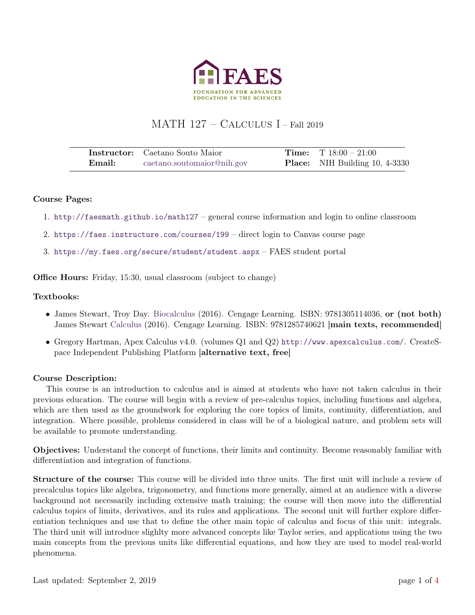

# MATH 127 – Calculus I – Fall 2019

|        | <b>Instructor:</b> Caetano Souto Maior | <b>Time:</b> $T 18:00 - 21:00$        |
|--------|----------------------------------------|---------------------------------------|
| Email: | caetano.soutomaior@nih.gov             | <b>Place:</b> NIH Building 10, 4-3330 |

### Course Pages:

- 1. <http://faesmath.github.io/math127> general course information and login to online classroom
- 2. <https://faes.instructure.com/courses/199> direct login to Canvas course page
- 3. <https://my.faes.org/secure/student/student.aspx> FAES student portal

Office Hours: Friday, 15:30, usual classroom (subject to change)

### Textbooks:

- James Stewart, Troy Day. [Biocalculus](https://www.cengage.com/c/biocalculus-calculus-probability-and-statistics-for-the-life-sciences-1e-stewart/9781305114036/) (2016). Cengage Learning. ISBN: 9781305114036, or (not both) James Stewart [Calculus](https://www.cengage.com/c/calculus-8e-stewart/) (2016). Cengage Learning. ISBN: 9781285740621 [main texts, recommended]
- Gregory Hartman, Apex Calculus v4.0. (volumes Q1 and Q2) <http://www.apexcalculus.com/>. CreateSpace Independent Publishing Platform [alternative text, free]

#### Course Description:

This course is an introduction to calculus and is aimed at students who have not taken calculus in their previous education. The course will begin with a review of pre-calculus topics, including functions and algebra, which are then used as the groundwork for exploring the core topics of limits, continuity, differentiation, and integration. Where possible, problems considered in class will be of a biological nature, and problem sets will be available to promote understanding.

Objectives: Understand the concept of functions, their limits and continuity. Become reasonably familiar with differentiation and integration of functions.

Structure of the course: This course will be divided into three units. The first unit will include a review of precalculus topics like algebra, trigonometry, and functions more generally, aimed at an audience with a diverse background not necessarily including extensive math training; the course will then move into the differential calculus topics of limits, derivatives, and its rules and applications. The second unit will further explore differentiation techniques and use that to define the other main topic of calculus and focus of this unit: integrals. The third unit will introduce slighlty more advanced concepts like Taylor series, and applications using the two main concepts from the previous units like differential equations, and how they are used to model real-world phenomena.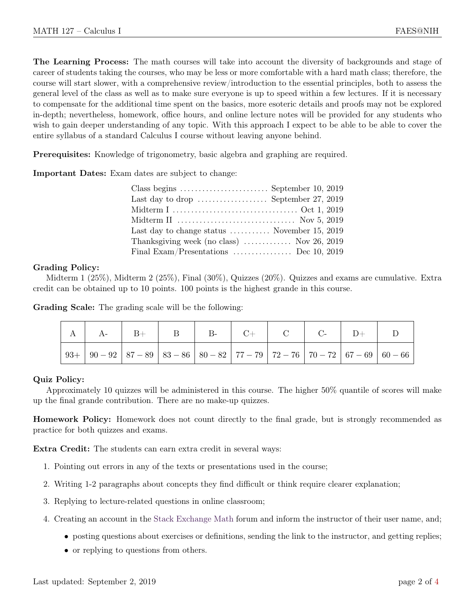The Learning Process: The math courses will take into account the diversity of backgrounds and stage of career of students taking the courses, who may be less or more comfortable with a hard math class; therefore, the course will start slower, with a comprehensive review/introduction to the essential principles, both to assess the general level of the class as well as to make sure everyone is up to speed within a few lectures. If it is necessary to compensate for the additional time spent on the basics, more esoteric details and proofs may not be explored in-depth; nevertheless, homework, office hours, and online lecture notes will be provided for any students who wish to gain deeper understanding of any topic. With this approach I expect to be able to be able to cover the entire syllabus of a standard Calculus I course without leaving anyone behind.

Prerequisites: Knowledge of trigonometry, basic algebra and graphing are required.

Important Dates: Exam dates are subject to change:

| Last day to drop $\dots\dots\dots\dots\dots$ . September 27, 2019 |  |
|-------------------------------------------------------------------|--|
|                                                                   |  |
|                                                                   |  |
| Last day to change status  November 15, 2019                      |  |
| Thanksgiving week (no class) $\ldots$ Nov 26, 2019                |  |
| Final Exam/Presentations  Dec 10, 2019                            |  |

## Grading Policy:

Midterm 1 (25%), Midterm 2 (25%), Final (30%), Quizzes (20%). Quizzes and exams are cumulative. Extra credit can be obtained up to 10 points. 100 points is the highest grande in this course.

Grading Scale: The grading scale will be the following:

| $A \mid A - \mid B +$ |  | $\cdot$   B   B   C   C   C   D + |  |  |  |
|-----------------------|--|-----------------------------------|--|--|--|
|                       |  |                                   |  |  |  |

# Quiz Policy:

Approximately 10 quizzes will be administered in this course. The higher 50% quantile of scores will make up the final grande contribution. There are no make-up quizzes.

Homework Policy: Homework does not count directly to the final grade, but is strongly recommended as practice for both quizzes and exams.

Extra Credit: The students can earn extra credit in several ways:

- 1. Pointing out errors in any of the texts or presentations used in the course;
- 2. Writing 1-2 paragraphs about concepts they find difficult or think require clearer explanation;
- 3. Replying to lecture-related questions in online classroom;
- 4. Creating an account in the [Stack Exchange Math](http://math.stackexchange.com) forum and inform the instructor of their user name, and;
	- posting questions about exercises or definitions, sending the link to the instructor, and getting replies;
	- or replying to questions from others.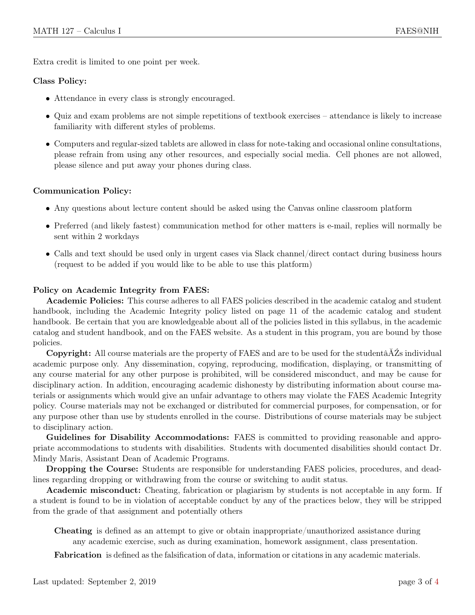Extra credit is limited to one point per week.

### Class Policy:

- Attendance in every class is strongly encouraged.
- Quiz and exam problems are not simple repetitions of textbook exercises attendance is likely to increase familiarity with different styles of problems.
- Computers and regular-sized tablets are allowed in class for note-taking and occasional online consultations, please refrain from using any other resources, and especially social media. Cell phones are not allowed, please silence and put away your phones during class.

### Communication Policy:

- Any questions about lecture content should be asked using the Canvas online classroom platform
- Preferred (and likely fastest) communication method for other matters is e-mail, replies will normally be sent within 2 workdays
- Calls and text should be used only in urgent cases via Slack channel/direct contact during business hours (request to be added if you would like to be able to use this platform)

### Policy on Academic Integrity from FAES:

Academic Policies: This course adheres to all FAES policies described in the academic catalog and student handbook, including the Academic Integrity policy listed on page 11 of the academic catalog and student handbook. Be certain that you are knowledgeable about all of the policies listed in this syllabus, in the academic catalog and student handbook, and on the FAES website. As a student in this program, you are bound by those policies.

Copyright: All course materials are the property of FAES and are to be used for the studentâĂŹs individual academic purpose only. Any dissemination, copying, reproducing, modification, displaying, or transmitting of any course material for any other purpose is prohibited, will be considered misconduct, and may be cause for disciplinary action. In addition, encouraging academic dishonesty by distributing information about course materials or assignments which would give an unfair advantage to others may violate the FAES Academic Integrity policy. Course materials may not be exchanged or distributed for commercial purposes, for compensation, or for any purpose other than use by students enrolled in the course. Distributions of course materials may be subject to disciplinary action.

Guidelines for Disability Accommodations: FAES is committed to providing reasonable and appropriate accommodations to students with disabilities. Students with documented disabilities should contact Dr. Mindy Maris, Assistant Dean of Academic Programs.

Dropping the Course: Students are responsible for understanding FAES policies, procedures, and deadlines regarding dropping or withdrawing from the course or switching to audit status.

Academic misconduct: Cheating, fabrication or plagiarism by students is not acceptable in any form. If a student is found to be in violation of acceptable conduct by any of the practices below, they will be stripped from the grade of that assignment and potentially others

Cheating is defined as an attempt to give or obtain inappropriate/unauthorized assistance during any academic exercise, such as during examination, homework assignment, class presentation.

Fabrication is defined as the falsification of data, information or citations in any academic materials.